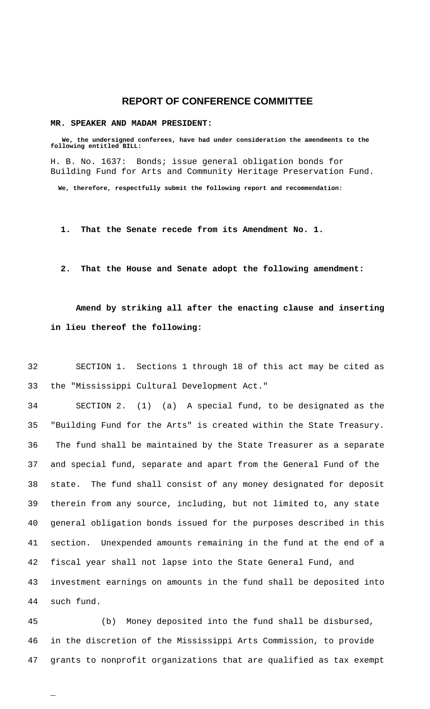## **REPORT OF CONFERENCE COMMITTEE**

### **MR. SPEAKER AND MADAM PRESIDENT:**

 **We, the undersigned conferees, have had under consideration the amendments to the following entitled BILL:** H. B. No. 1637: Bonds; issue general obligation bonds for Building Fund for Arts and Community Heritage Preservation Fund.  **We, therefore, respectfully submit the following report and recommendation:**

 **1. That the Senate recede from its Amendment No. 1.**

## **2. That the House and Senate adopt the following amendment:**

# **Amend by striking all after the enacting clause and inserting in lieu thereof the following:**

32 SECTION 1. Sections 1 through 18 of this act may be cited as 33 the "Mississippi Cultural Development Act."

 SECTION 2. (1) (a) A special fund, to be designated as the "Building Fund for the Arts" is created within the State Treasury. 36 The fund shall be maintained by the State Treasurer as a separate and special fund, separate and apart from the General Fund of the state. The fund shall consist of any money designated for deposit therein from any source, including, but not limited to, any state general obligation bonds issued for the purposes described in this section. Unexpended amounts remaining in the fund at the end of a fiscal year shall not lapse into the State General Fund, and investment earnings on amounts in the fund shall be deposited into such fund.

45 (b) Money deposited into the fund shall be disbursed, 46 in the discretion of the Mississippi Arts Commission, to provide 47 grants to nonprofit organizations that are qualified as tax exempt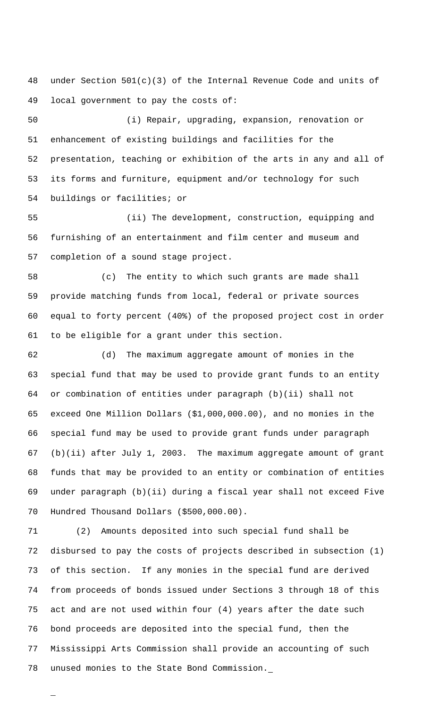under Section 501(c)(3) of the Internal Revenue Code and units of local government to pay the costs of:

 (i) Repair, upgrading, expansion, renovation or enhancement of existing buildings and facilities for the presentation, teaching or exhibition of the arts in any and all of its forms and furniture, equipment and/or technology for such buildings or facilities; or

 (ii) The development, construction, equipping and furnishing of an entertainment and film center and museum and completion of a sound stage project.

 (c) The entity to which such grants are made shall provide matching funds from local, federal or private sources equal to forty percent (40%) of the proposed project cost in order to be eligible for a grant under this section.

 (d) The maximum aggregate amount of monies in the special fund that may be used to provide grant funds to an entity or combination of entities under paragraph (b)(ii) shall not exceed One Million Dollars (\$1,000,000.00), and no monies in the special fund may be used to provide grant funds under paragraph (b)(ii) after July 1, 2003. The maximum aggregate amount of grant funds that may be provided to an entity or combination of entities under paragraph (b)(ii) during a fiscal year shall not exceed Five Hundred Thousand Dollars (\$500,000.00).

 (2) Amounts deposited into such special fund shall be disbursed to pay the costs of projects described in subsection (1) of this section. If any monies in the special fund are derived from proceeds of bonds issued under Sections 3 through 18 of this act and are not used within four (4) years after the date such bond proceeds are deposited into the special fund, then the Mississippi Arts Commission shall provide an accounting of such unused monies to the State Bond Commission.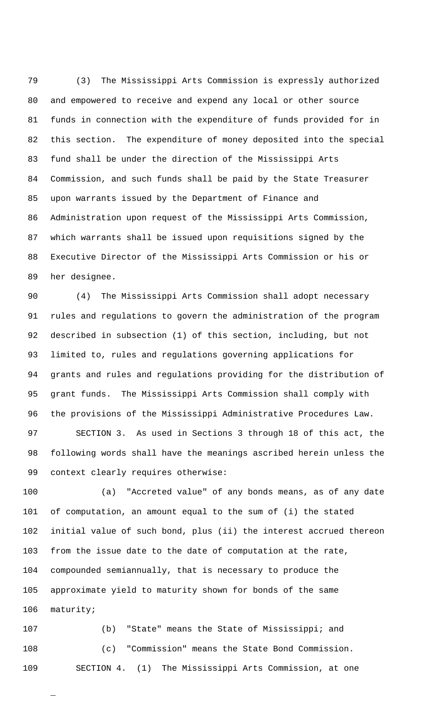(3) The Mississippi Arts Commission is expressly authorized and empowered to receive and expend any local or other source funds in connection with the expenditure of funds provided for in this section. The expenditure of money deposited into the special fund shall be under the direction of the Mississippi Arts Commission, and such funds shall be paid by the State Treasurer upon warrants issued by the Department of Finance and Administration upon request of the Mississippi Arts Commission, which warrants shall be issued upon requisitions signed by the Executive Director of the Mississippi Arts Commission or his or her designee.

 (4) The Mississippi Arts Commission shall adopt necessary rules and regulations to govern the administration of the program described in subsection (1) of this section, including, but not limited to, rules and regulations governing applications for grants and rules and regulations providing for the distribution of grant funds. The Mississippi Arts Commission shall comply with the provisions of the Mississippi Administrative Procedures Law. SECTION 3. As used in Sections 3 through 18 of this act, the

 following words shall have the meanings ascribed herein unless the context clearly requires otherwise:

 (a) "Accreted value" of any bonds means, as of any date of computation, an amount equal to the sum of (i) the stated initial value of such bond, plus (ii) the interest accrued thereon from the issue date to the date of computation at the rate, compounded semiannually, that is necessary to produce the approximate yield to maturity shown for bonds of the same maturity;

 (b) "State" means the State of Mississippi; and (c) "Commission" means the State Bond Commission. SECTION 4. (1) The Mississippi Arts Commission, at one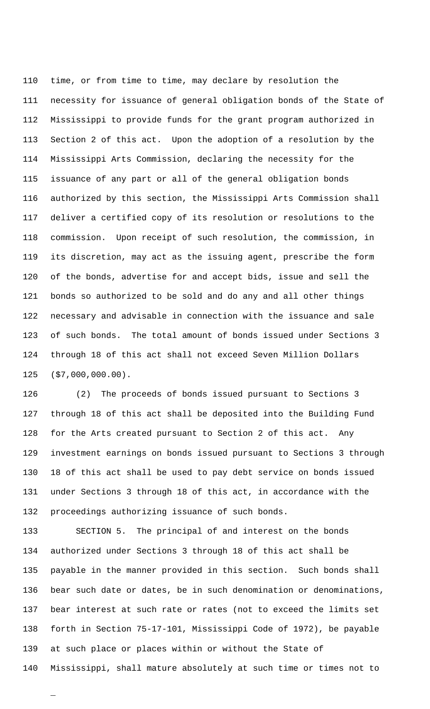time, or from time to time, may declare by resolution the necessity for issuance of general obligation bonds of the State of Mississippi to provide funds for the grant program authorized in Section 2 of this act. Upon the adoption of a resolution by the Mississippi Arts Commission, declaring the necessity for the issuance of any part or all of the general obligation bonds authorized by this section, the Mississippi Arts Commission shall deliver a certified copy of its resolution or resolutions to the commission. Upon receipt of such resolution, the commission, in its discretion, may act as the issuing agent, prescribe the form of the bonds, advertise for and accept bids, issue and sell the bonds so authorized to be sold and do any and all other things necessary and advisable in connection with the issuance and sale of such bonds. The total amount of bonds issued under Sections 3 through 18 of this act shall not exceed Seven Million Dollars (\$7,000,000.00).

 (2) The proceeds of bonds issued pursuant to Sections 3 through 18 of this act shall be deposited into the Building Fund for the Arts created pursuant to Section 2 of this act. Any investment earnings on bonds issued pursuant to Sections 3 through 18 of this act shall be used to pay debt service on bonds issued under Sections 3 through 18 of this act, in accordance with the proceedings authorizing issuance of such bonds.

 SECTION 5. The principal of and interest on the bonds authorized under Sections 3 through 18 of this act shall be payable in the manner provided in this section. Such bonds shall bear such date or dates, be in such denomination or denominations, bear interest at such rate or rates (not to exceed the limits set forth in Section 75-17-101, Mississippi Code of 1972), be payable at such place or places within or without the State of Mississippi, shall mature absolutely at such time or times not to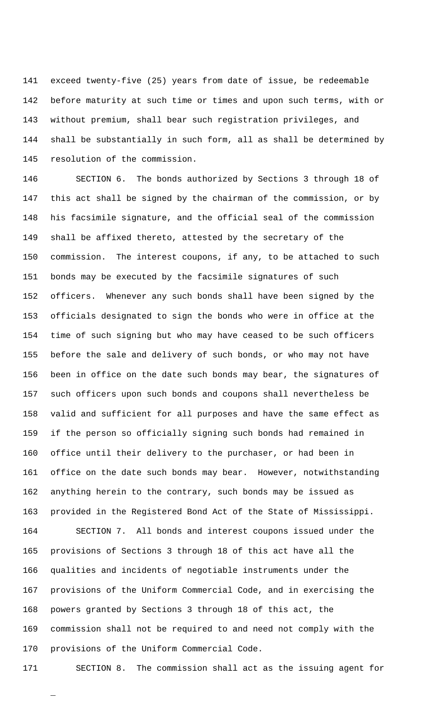exceed twenty-five (25) years from date of issue, be redeemable before maturity at such time or times and upon such terms, with or without premium, shall bear such registration privileges, and shall be substantially in such form, all as shall be determined by resolution of the commission.

 SECTION 6. The bonds authorized by Sections 3 through 18 of this act shall be signed by the chairman of the commission, or by his facsimile signature, and the official seal of the commission shall be affixed thereto, attested by the secretary of the commission. The interest coupons, if any, to be attached to such bonds may be executed by the facsimile signatures of such officers. Whenever any such bonds shall have been signed by the officials designated to sign the bonds who were in office at the time of such signing but who may have ceased to be such officers before the sale and delivery of such bonds, or who may not have been in office on the date such bonds may bear, the signatures of such officers upon such bonds and coupons shall nevertheless be valid and sufficient for all purposes and have the same effect as if the person so officially signing such bonds had remained in office until their delivery to the purchaser, or had been in office on the date such bonds may bear. However, notwithstanding anything herein to the contrary, such bonds may be issued as provided in the Registered Bond Act of the State of Mississippi. SECTION 7. All bonds and interest coupons issued under the provisions of Sections 3 through 18 of this act have all the qualities and incidents of negotiable instruments under the provisions of the Uniform Commercial Code, and in exercising the powers granted by Sections 3 through 18 of this act, the commission shall not be required to and need not comply with the provisions of the Uniform Commercial Code.

\_

SECTION 8. The commission shall act as the issuing agent for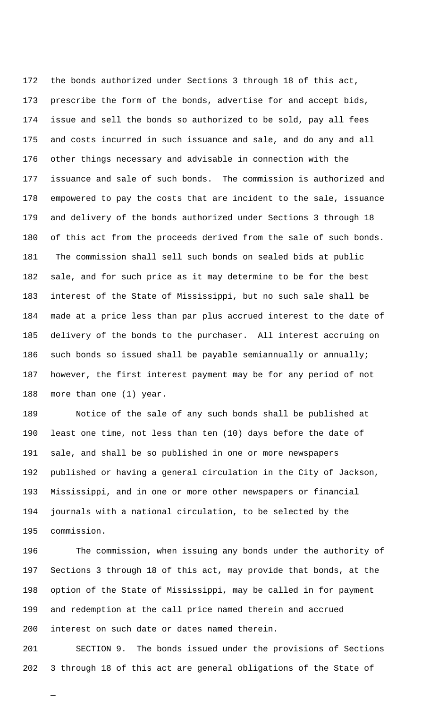the bonds authorized under Sections 3 through 18 of this act, prescribe the form of the bonds, advertise for and accept bids, issue and sell the bonds so authorized to be sold, pay all fees and costs incurred in such issuance and sale, and do any and all other things necessary and advisable in connection with the issuance and sale of such bonds. The commission is authorized and empowered to pay the costs that are incident to the sale, issuance and delivery of the bonds authorized under Sections 3 through 18 of this act from the proceeds derived from the sale of such bonds. 181 The commission shall sell such bonds on sealed bids at public sale, and for such price as it may determine to be for the best interest of the State of Mississippi, but no such sale shall be made at a price less than par plus accrued interest to the date of delivery of the bonds to the purchaser. All interest accruing on such bonds so issued shall be payable semiannually or annually; however, the first interest payment may be for any period of not more than one (1) year.

 Notice of the sale of any such bonds shall be published at least one time, not less than ten (10) days before the date of sale, and shall be so published in one or more newspapers published or having a general circulation in the City of Jackson, Mississippi, and in one or more other newspapers or financial journals with a national circulation, to be selected by the commission.

 The commission, when issuing any bonds under the authority of Sections 3 through 18 of this act, may provide that bonds, at the option of the State of Mississippi, may be called in for payment and redemption at the call price named therein and accrued interest on such date or dates named therein.

 SECTION 9. The bonds issued under the provisions of Sections 3 through 18 of this act are general obligations of the State of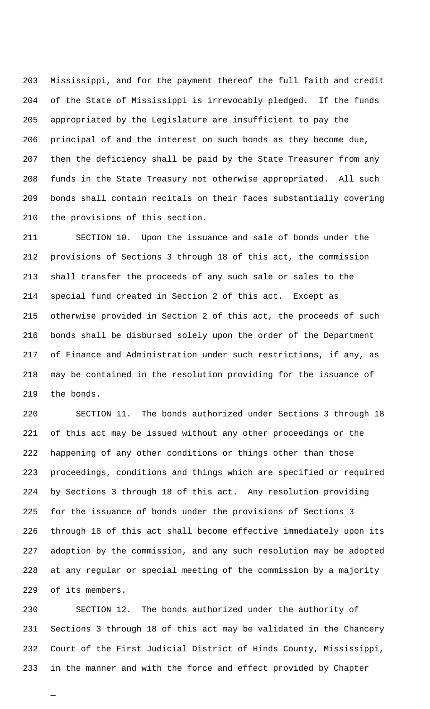Mississippi, and for the payment thereof the full faith and credit of the State of Mississippi is irrevocably pledged. If the funds appropriated by the Legislature are insufficient to pay the principal of and the interest on such bonds as they become due, then the deficiency shall be paid by the State Treasurer from any funds in the State Treasury not otherwise appropriated. All such bonds shall contain recitals on their faces substantially covering the provisions of this section.

 SECTION 10. Upon the issuance and sale of bonds under the provisions of Sections 3 through 18 of this act, the commission shall transfer the proceeds of any such sale or sales to the special fund created in Section 2 of this act. Except as otherwise provided in Section 2 of this act, the proceeds of such bonds shall be disbursed solely upon the order of the Department of Finance and Administration under such restrictions, if any, as may be contained in the resolution providing for the issuance of the bonds.

 SECTION 11. The bonds authorized under Sections 3 through 18 of this act may be issued without any other proceedings or the happening of any other conditions or things other than those proceedings, conditions and things which are specified or required by Sections 3 through 18 of this act. Any resolution providing for the issuance of bonds under the provisions of Sections 3 through 18 of this act shall become effective immediately upon its adoption by the commission, and any such resolution may be adopted at any regular or special meeting of the commission by a majority of its members.

 SECTION 12. The bonds authorized under the authority of Sections 3 through 18 of this act may be validated in the Chancery Court of the First Judicial District of Hinds County, Mississippi, in the manner and with the force and effect provided by Chapter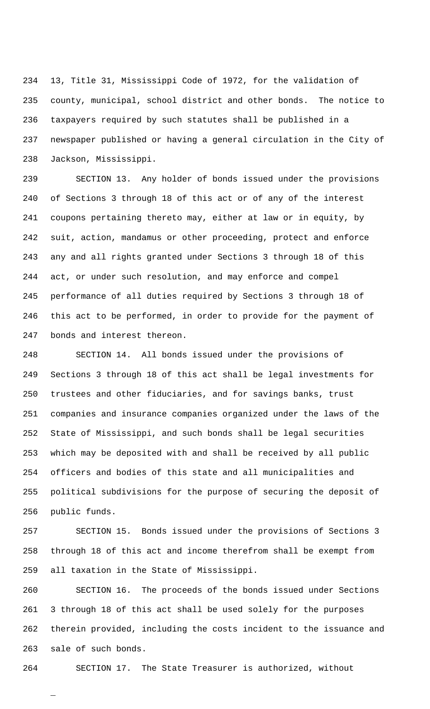13, Title 31, Mississippi Code of 1972, for the validation of county, municipal, school district and other bonds. The notice to taxpayers required by such statutes shall be published in a newspaper published or having a general circulation in the City of Jackson, Mississippi.

 SECTION 13. Any holder of bonds issued under the provisions of Sections 3 through 18 of this act or of any of the interest coupons pertaining thereto may, either at law or in equity, by suit, action, mandamus or other proceeding, protect and enforce any and all rights granted under Sections 3 through 18 of this act, or under such resolution, and may enforce and compel performance of all duties required by Sections 3 through 18 of this act to be performed, in order to provide for the payment of bonds and interest thereon.

 SECTION 14. All bonds issued under the provisions of Sections 3 through 18 of this act shall be legal investments for trustees and other fiduciaries, and for savings banks, trust companies and insurance companies organized under the laws of the State of Mississippi, and such bonds shall be legal securities which may be deposited with and shall be received by all public officers and bodies of this state and all municipalities and political subdivisions for the purpose of securing the deposit of public funds.

 SECTION 15. Bonds issued under the provisions of Sections 3 through 18 of this act and income therefrom shall be exempt from all taxation in the State of Mississippi.

 SECTION 16. The proceeds of the bonds issued under Sections 3 through 18 of this act shall be used solely for the purposes therein provided, including the costs incident to the issuance and sale of such bonds.

SECTION 17. The State Treasurer is authorized, without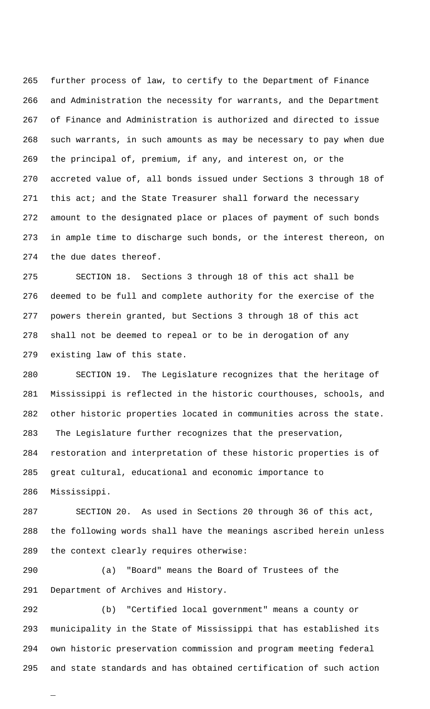further process of law, to certify to the Department of Finance and Administration the necessity for warrants, and the Department of Finance and Administration is authorized and directed to issue such warrants, in such amounts as may be necessary to pay when due the principal of, premium, if any, and interest on, or the accreted value of, all bonds issued under Sections 3 through 18 of 271 this act; and the State Treasurer shall forward the necessary amount to the designated place or places of payment of such bonds in ample time to discharge such bonds, or the interest thereon, on the due dates thereof.

 SECTION 18. Sections 3 through 18 of this act shall be deemed to be full and complete authority for the exercise of the powers therein granted, but Sections 3 through 18 of this act shall not be deemed to repeal or to be in derogation of any existing law of this state.

 SECTION 19. The Legislature recognizes that the heritage of Mississippi is reflected in the historic courthouses, schools, and other historic properties located in communities across the state. 283 The Legislature further recognizes that the preservation, restoration and interpretation of these historic properties is of great cultural, educational and economic importance to Mississippi.

 SECTION 20. As used in Sections 20 through 36 of this act, the following words shall have the meanings ascribed herein unless the context clearly requires otherwise:

 (a) "Board" means the Board of Trustees of the Department of Archives and History.

\_

 (b) "Certified local government" means a county or municipality in the State of Mississippi that has established its own historic preservation commission and program meeting federal and state standards and has obtained certification of such action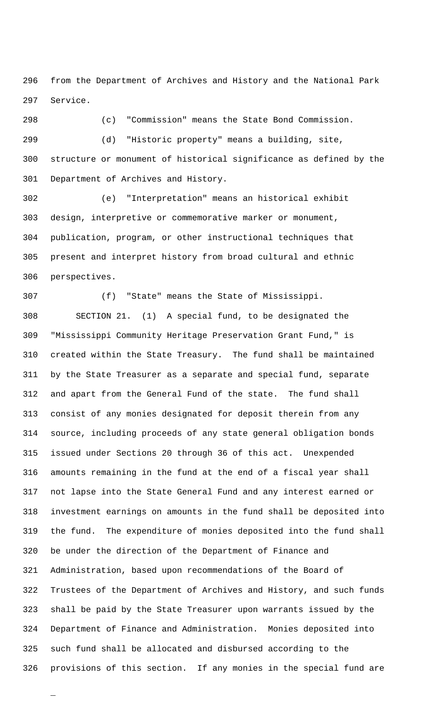from the Department of Archives and History and the National Park Service.

 (c) "Commission" means the State Bond Commission. (d) "Historic property" means a building, site, structure or monument of historical significance as defined by the Department of Archives and History.

 (e) "Interpretation" means an historical exhibit design, interpretive or commemorative marker or monument, publication, program, or other instructional techniques that present and interpret history from broad cultural and ethnic perspectives.

 (f) "State" means the State of Mississippi. SECTION 21. (1) A special fund, to be designated the "Mississippi Community Heritage Preservation Grant Fund," is created within the State Treasury. The fund shall be maintained by the State Treasurer as a separate and special fund, separate and apart from the General Fund of the state. The fund shall consist of any monies designated for deposit therein from any source, including proceeds of any state general obligation bonds issued under Sections 20 through 36 of this act. Unexpended amounts remaining in the fund at the end of a fiscal year shall not lapse into the State General Fund and any interest earned or investment earnings on amounts in the fund shall be deposited into the fund. The expenditure of monies deposited into the fund shall be under the direction of the Department of Finance and Administration, based upon recommendations of the Board of Trustees of the Department of Archives and History, and such funds shall be paid by the State Treasurer upon warrants issued by the Department of Finance and Administration. Monies deposited into such fund shall be allocated and disbursed according to the provisions of this section. If any monies in the special fund are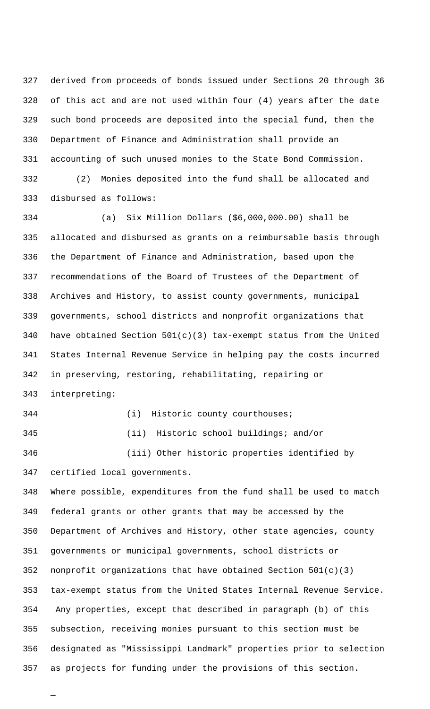derived from proceeds of bonds issued under Sections 20 through 36 of this act and are not used within four (4) years after the date such bond proceeds are deposited into the special fund, then the Department of Finance and Administration shall provide an accounting of such unused monies to the State Bond Commission. (2) Monies deposited into the fund shall be allocated and disbursed as follows:

 (a) Six Million Dollars (\$6,000,000.00) shall be allocated and disbursed as grants on a reimbursable basis through the Department of Finance and Administration, based upon the recommendations of the Board of Trustees of the Department of Archives and History, to assist county governments, municipal governments, school districts and nonprofit organizations that 340 have obtained Section  $501(c)(3)$  tax-exempt status from the United States Internal Revenue Service in helping pay the costs incurred in preserving, restoring, rehabilitating, repairing or interpreting:

\_

344 (i) Historic county courthouses; (ii) Historic school buildings; and/or (iii) Other historic properties identified by

certified local governments.

 Where possible, expenditures from the fund shall be used to match federal grants or other grants that may be accessed by the Department of Archives and History, other state agencies, county governments or municipal governments, school districts or nonprofit organizations that have obtained Section 501(c)(3) tax-exempt status from the United States Internal Revenue Service. 354 Any properties, except that described in paragraph (b) of this subsection, receiving monies pursuant to this section must be designated as "Mississippi Landmark" properties prior to selection as projects for funding under the provisions of this section.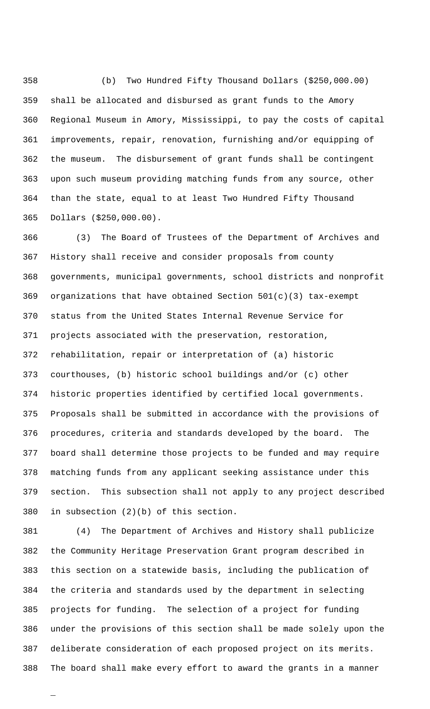(b) Two Hundred Fifty Thousand Dollars (\$250,000.00) shall be allocated and disbursed as grant funds to the Amory Regional Museum in Amory, Mississippi, to pay the costs of capital improvements, repair, renovation, furnishing and/or equipping of the museum. The disbursement of grant funds shall be contingent upon such museum providing matching funds from any source, other than the state, equal to at least Two Hundred Fifty Thousand Dollars (\$250,000.00).

 (3) The Board of Trustees of the Department of Archives and History shall receive and consider proposals from county governments, municipal governments, school districts and nonprofit organizations that have obtained Section 501(c)(3) tax-exempt status from the United States Internal Revenue Service for projects associated with the preservation, restoration, rehabilitation, repair or interpretation of (a) historic courthouses, (b) historic school buildings and/or (c) other historic properties identified by certified local governments. Proposals shall be submitted in accordance with the provisions of procedures, criteria and standards developed by the board. The board shall determine those projects to be funded and may require matching funds from any applicant seeking assistance under this section. This subsection shall not apply to any project described in subsection (2)(b) of this section.

 (4) The Department of Archives and History shall publicize the Community Heritage Preservation Grant program described in this section on a statewide basis, including the publication of the criteria and standards used by the department in selecting projects for funding. The selection of a project for funding under the provisions of this section shall be made solely upon the deliberate consideration of each proposed project on its merits. The board shall make every effort to award the grants in a manner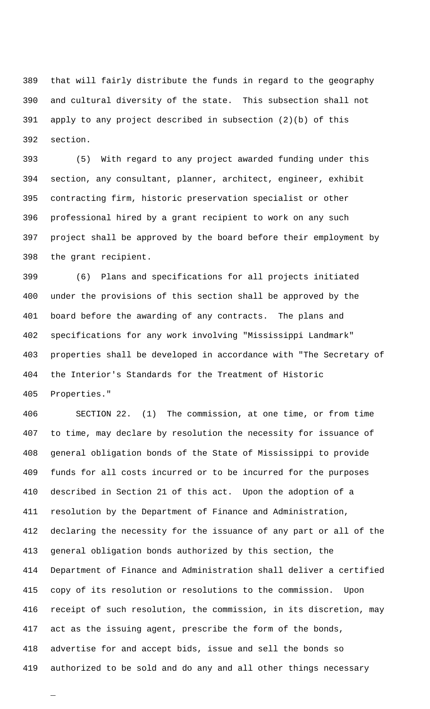that will fairly distribute the funds in regard to the geography and cultural diversity of the state. This subsection shall not apply to any project described in subsection (2)(b) of this section.

 (5) With regard to any project awarded funding under this section, any consultant, planner, architect, engineer, exhibit contracting firm, historic preservation specialist or other professional hired by a grant recipient to work on any such project shall be approved by the board before their employment by the grant recipient.

 (6) Plans and specifications for all projects initiated under the provisions of this section shall be approved by the board before the awarding of any contracts. The plans and specifications for any work involving "Mississippi Landmark" properties shall be developed in accordance with "The Secretary of the Interior's Standards for the Treatment of Historic Properties."

 SECTION 22. (1) The commission, at one time, or from time to time, may declare by resolution the necessity for issuance of general obligation bonds of the State of Mississippi to provide funds for all costs incurred or to be incurred for the purposes described in Section 21 of this act. Upon the adoption of a resolution by the Department of Finance and Administration, declaring the necessity for the issuance of any part or all of the general obligation bonds authorized by this section, the Department of Finance and Administration shall deliver a certified copy of its resolution or resolutions to the commission. Upon receipt of such resolution, the commission, in its discretion, may act as the issuing agent, prescribe the form of the bonds, advertise for and accept bids, issue and sell the bonds so authorized to be sold and do any and all other things necessary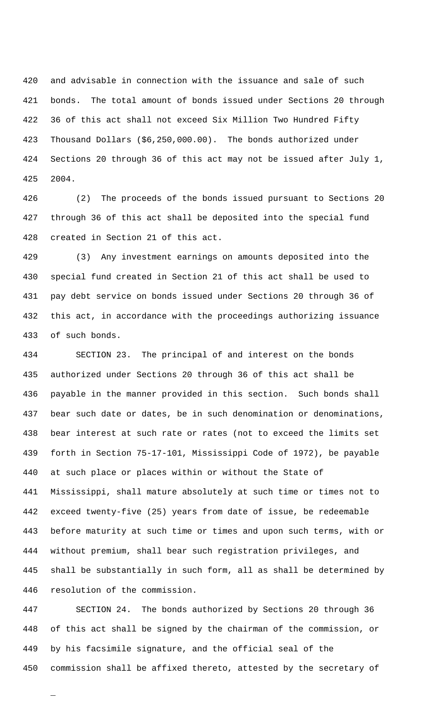and advisable in connection with the issuance and sale of such bonds. The total amount of bonds issued under Sections 20 through 36 of this act shall not exceed Six Million Two Hundred Fifty Thousand Dollars (\$6,250,000.00). The bonds authorized under Sections 20 through 36 of this act may not be issued after July 1, 2004.

 (2) The proceeds of the bonds issued pursuant to Sections 20 through 36 of this act shall be deposited into the special fund created in Section 21 of this act.

 (3) Any investment earnings on amounts deposited into the special fund created in Section 21 of this act shall be used to pay debt service on bonds issued under Sections 20 through 36 of this act, in accordance with the proceedings authorizing issuance of such bonds.

 SECTION 23. The principal of and interest on the bonds authorized under Sections 20 through 36 of this act shall be payable in the manner provided in this section. Such bonds shall bear such date or dates, be in such denomination or denominations, bear interest at such rate or rates (not to exceed the limits set forth in Section 75-17-101, Mississippi Code of 1972), be payable at such place or places within or without the State of Mississippi, shall mature absolutely at such time or times not to exceed twenty-five (25) years from date of issue, be redeemable before maturity at such time or times and upon such terms, with or without premium, shall bear such registration privileges, and shall be substantially in such form, all as shall be determined by resolution of the commission.

 SECTION 24. The bonds authorized by Sections 20 through 36 of this act shall be signed by the chairman of the commission, or by his facsimile signature, and the official seal of the commission shall be affixed thereto, attested by the secretary of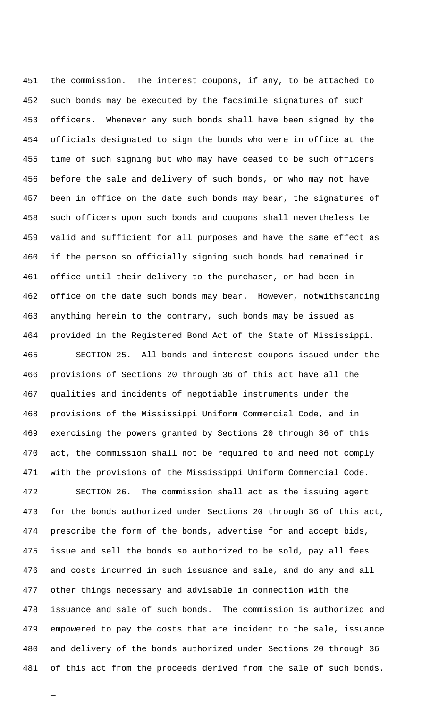the commission. The interest coupons, if any, to be attached to such bonds may be executed by the facsimile signatures of such officers. Whenever any such bonds shall have been signed by the officials designated to sign the bonds who were in office at the time of such signing but who may have ceased to be such officers before the sale and delivery of such bonds, or who may not have been in office on the date such bonds may bear, the signatures of such officers upon such bonds and coupons shall nevertheless be valid and sufficient for all purposes and have the same effect as if the person so officially signing such bonds had remained in office until their delivery to the purchaser, or had been in office on the date such bonds may bear. However, notwithstanding anything herein to the contrary, such bonds may be issued as provided in the Registered Bond Act of the State of Mississippi. SECTION 25. All bonds and interest coupons issued under the

 provisions of Sections 20 through 36 of this act have all the qualities and incidents of negotiable instruments under the provisions of the Mississippi Uniform Commercial Code, and in exercising the powers granted by Sections 20 through 36 of this act, the commission shall not be required to and need not comply with the provisions of the Mississippi Uniform Commercial Code.

 SECTION 26. The commission shall act as the issuing agent for the bonds authorized under Sections 20 through 36 of this act, prescribe the form of the bonds, advertise for and accept bids, issue and sell the bonds so authorized to be sold, pay all fees and costs incurred in such issuance and sale, and do any and all other things necessary and advisable in connection with the issuance and sale of such bonds. The commission is authorized and empowered to pay the costs that are incident to the sale, issuance and delivery of the bonds authorized under Sections 20 through 36 of this act from the proceeds derived from the sale of such bonds.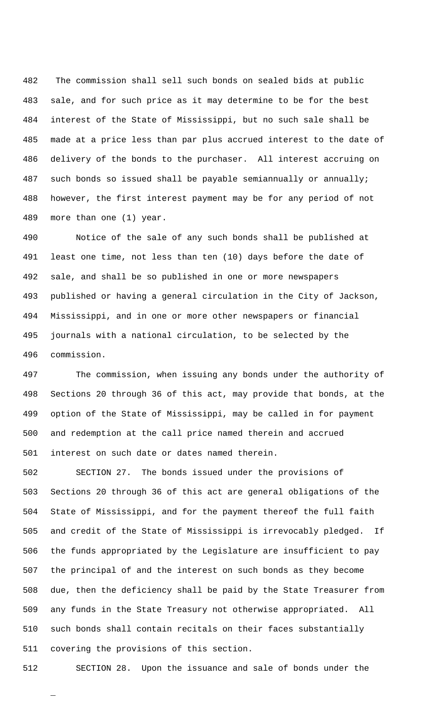482 The commission shall sell such bonds on sealed bids at public sale, and for such price as it may determine to be for the best interest of the State of Mississippi, but no such sale shall be made at a price less than par plus accrued interest to the date of delivery of the bonds to the purchaser. All interest accruing on such bonds so issued shall be payable semiannually or annually; however, the first interest payment may be for any period of not more than one (1) year.

 Notice of the sale of any such bonds shall be published at least one time, not less than ten (10) days before the date of sale, and shall be so published in one or more newspapers published or having a general circulation in the City of Jackson, Mississippi, and in one or more other newspapers or financial journals with a national circulation, to be selected by the commission.

 The commission, when issuing any bonds under the authority of Sections 20 through 36 of this act, may provide that bonds, at the option of the State of Mississippi, may be called in for payment and redemption at the call price named therein and accrued interest on such date or dates named therein.

 SECTION 27. The bonds issued under the provisions of Sections 20 through 36 of this act are general obligations of the State of Mississippi, and for the payment thereof the full faith and credit of the State of Mississippi is irrevocably pledged. If the funds appropriated by the Legislature are insufficient to pay the principal of and the interest on such bonds as they become due, then the deficiency shall be paid by the State Treasurer from any funds in the State Treasury not otherwise appropriated. All such bonds shall contain recitals on their faces substantially covering the provisions of this section.

\_

SECTION 28. Upon the issuance and sale of bonds under the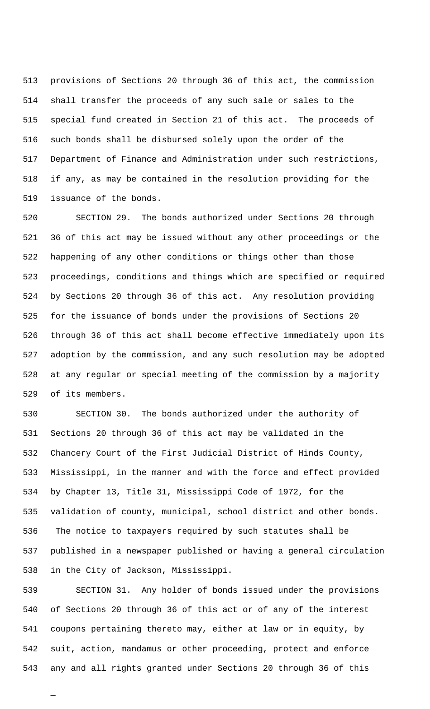provisions of Sections 20 through 36 of this act, the commission shall transfer the proceeds of any such sale or sales to the special fund created in Section 21 of this act. The proceeds of such bonds shall be disbursed solely upon the order of the Department of Finance and Administration under such restrictions, if any, as may be contained in the resolution providing for the issuance of the bonds.

 SECTION 29. The bonds authorized under Sections 20 through 36 of this act may be issued without any other proceedings or the happening of any other conditions or things other than those proceedings, conditions and things which are specified or required by Sections 20 through 36 of this act. Any resolution providing for the issuance of bonds under the provisions of Sections 20 through 36 of this act shall become effective immediately upon its adoption by the commission, and any such resolution may be adopted at any regular or special meeting of the commission by a majority of its members.

 SECTION 30. The bonds authorized under the authority of Sections 20 through 36 of this act may be validated in the Chancery Court of the First Judicial District of Hinds County, Mississippi, in the manner and with the force and effect provided by Chapter 13, Title 31, Mississippi Code of 1972, for the validation of county, municipal, school district and other bonds. 536 The notice to taxpayers required by such statutes shall be published in a newspaper published or having a general circulation in the City of Jackson, Mississippi.

 SECTION 31. Any holder of bonds issued under the provisions of Sections 20 through 36 of this act or of any of the interest coupons pertaining thereto may, either at law or in equity, by suit, action, mandamus or other proceeding, protect and enforce any and all rights granted under Sections 20 through 36 of this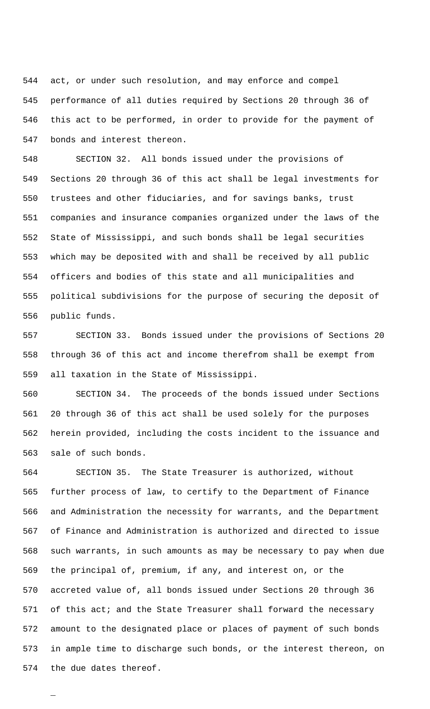act, or under such resolution, and may enforce and compel performance of all duties required by Sections 20 through 36 of this act to be performed, in order to provide for the payment of bonds and interest thereon.

 SECTION 32. All bonds issued under the provisions of Sections 20 through 36 of this act shall be legal investments for trustees and other fiduciaries, and for savings banks, trust companies and insurance companies organized under the laws of the State of Mississippi, and such bonds shall be legal securities which may be deposited with and shall be received by all public officers and bodies of this state and all municipalities and political subdivisions for the purpose of securing the deposit of public funds.

 SECTION 33. Bonds issued under the provisions of Sections 20 through 36 of this act and income therefrom shall be exempt from all taxation in the State of Mississippi.

 SECTION 34. The proceeds of the bonds issued under Sections 20 through 36 of this act shall be used solely for the purposes herein provided, including the costs incident to the issuance and sale of such bonds.

 SECTION 35. The State Treasurer is authorized, without further process of law, to certify to the Department of Finance and Administration the necessity for warrants, and the Department of Finance and Administration is authorized and directed to issue such warrants, in such amounts as may be necessary to pay when due the principal of, premium, if any, and interest on, or the accreted value of, all bonds issued under Sections 20 through 36 571 of this act; and the State Treasurer shall forward the necessary amount to the designated place or places of payment of such bonds in ample time to discharge such bonds, or the interest thereon, on the due dates thereof.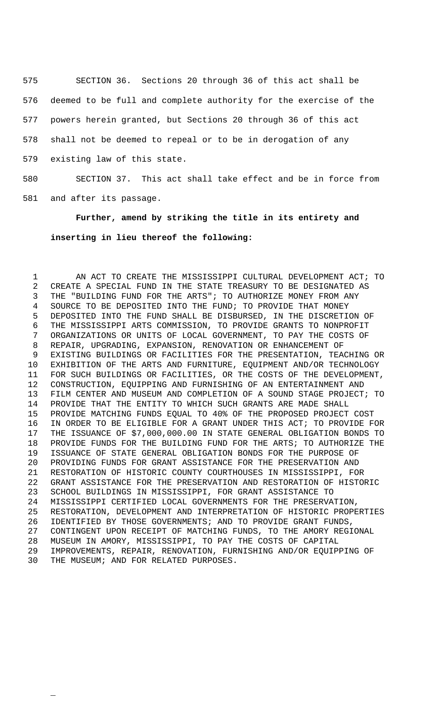SECTION 36. Sections 20 through 36 of this act shall be deemed to be full and complete authority for the exercise of the powers herein granted, but Sections 20 through 36 of this act shall not be deemed to repeal or to be in derogation of any existing law of this state.

 SECTION 37. This act shall take effect and be in force from and after its passage.

**Further, amend by striking the title in its entirety and inserting in lieu thereof the following:**

1 AN ACT TO CREATE THE MISSISSIPPI CULTURAL DEVELOPMENT ACT; TO CREATE A SPECIAL FUND IN THE STATE TREASURY TO BE DESIGNATED AS THE "BUILDING FUND FOR THE ARTS"; TO AUTHORIZE MONEY FROM ANY SOURCE TO BE DEPOSITED INTO THE FUND; TO PROVIDE THAT MONEY DEPOSITED INTO THE FUND SHALL BE DISBURSED, IN THE DISCRETION OF THE MISSISSIPPI ARTS COMMISSION, TO PROVIDE GRANTS TO NONPROFIT ORGANIZATIONS OR UNITS OF LOCAL GOVERNMENT, TO PAY THE COSTS OF REPAIR, UPGRADING, EXPANSION, RENOVATION OR ENHANCEMENT OF EXISTING BUILDINGS OR FACILITIES FOR THE PRESENTATION, TEACHING OR EXHIBITION OF THE ARTS AND FURNITURE, EQUIPMENT AND/OR TECHNOLOGY FOR SUCH BUILDINGS OR FACILITIES, OR THE COSTS OF THE DEVELOPMENT, CONSTRUCTION, EQUIPPING AND FURNISHING OF AN ENTERTAINMENT AND FILM CENTER AND MUSEUM AND COMPLETION OF A SOUND STAGE PROJECT; TO PROVIDE THAT THE ENTITY TO WHICH SUCH GRANTS ARE MADE SHALL PROVIDE MATCHING FUNDS EQUAL TO 40% OF THE PROPOSED PROJECT COST IN ORDER TO BE ELIGIBLE FOR A GRANT UNDER THIS ACT; TO PROVIDE FOR THE ISSUANCE OF \$7,000,000.00 IN STATE GENERAL OBLIGATION BONDS TO PROVIDE FUNDS FOR THE BUILDING FUND FOR THE ARTS; TO AUTHORIZE THE ISSUANCE OF STATE GENERAL OBLIGATION BONDS FOR THE PURPOSE OF PROVIDING FUNDS FOR GRANT ASSISTANCE FOR THE PRESERVATION AND RESTORATION OF HISTORIC COUNTY COURTHOUSES IN MISSISSIPPI, FOR GRANT ASSISTANCE FOR THE PRESERVATION AND RESTORATION OF HISTORIC SCHOOL BUILDINGS IN MISSISSIPPI, FOR GRANT ASSISTANCE TO MISSISSIPPI CERTIFIED LOCAL GOVERNMENTS FOR THE PRESERVATION, RESTORATION, DEVELOPMENT AND INTERPRETATION OF HISTORIC PROPERTIES IDENTIFIED BY THOSE GOVERNMENTS; AND TO PROVIDE GRANT FUNDS, CONTINGENT UPON RECEIPT OF MATCHING FUNDS, TO THE AMORY REGIONAL MUSEUM IN AMORY, MISSISSIPPI, TO PAY THE COSTS OF CAPITAL IMPROVEMENTS, REPAIR, RENOVATION, FURNISHING AND/OR EQUIPPING OF THE MUSEUM; AND FOR RELATED PURPOSES.